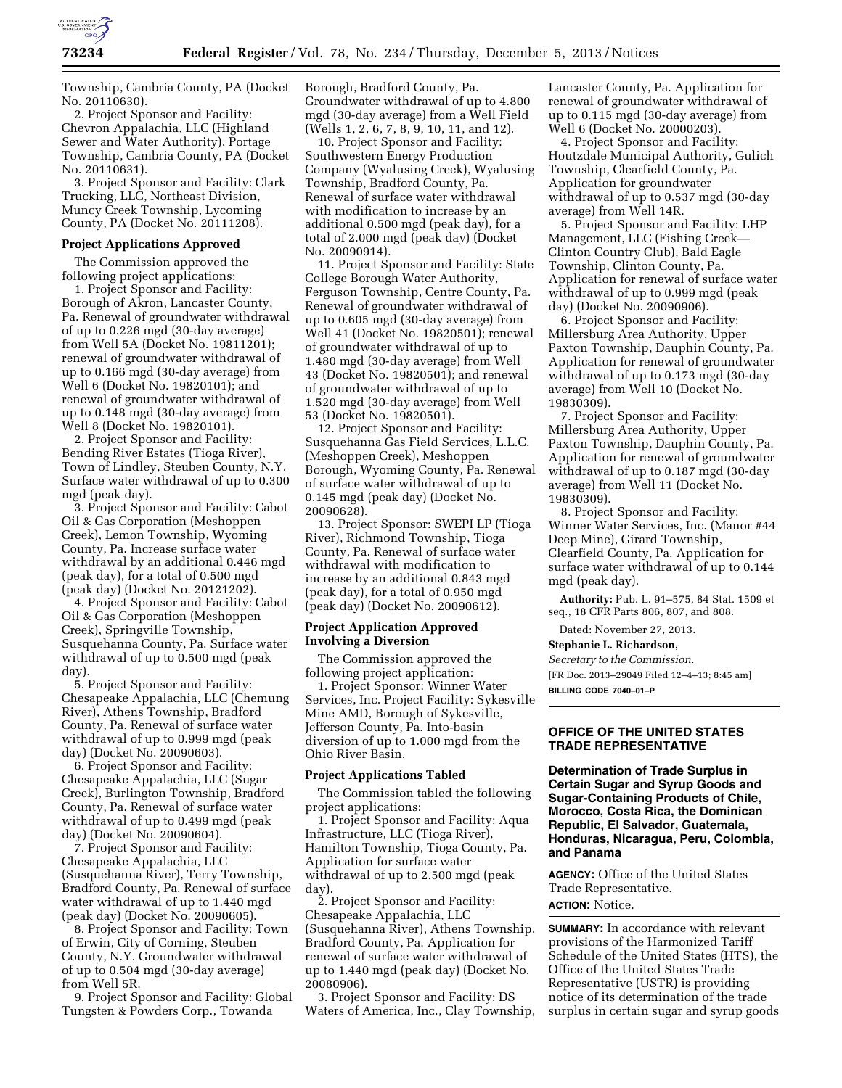

Township, Cambria County, PA (Docket No. 20110630).

2. Project Sponsor and Facility: Chevron Appalachia, LLC (Highland Sewer and Water Authority), Portage Township, Cambria County, PA (Docket No. 20110631).

3. Project Sponsor and Facility: Clark Trucking, LLC, Northeast Division, Muncy Creek Township, Lycoming County, PA (Docket No. 20111208).

#### **Project Applications Approved**

The Commission approved the following project applications:

1. Project Sponsor and Facility: Borough of Akron, Lancaster County, Pa. Renewal of groundwater withdrawal of up to 0.226 mgd (30-day average) from Well 5A (Docket No. 19811201); renewal of groundwater withdrawal of up to 0.166 mgd (30-day average) from Well 6 (Docket No. 19820101); and renewal of groundwater withdrawal of up to 0.148 mgd (30-day average) from Well 8 (Docket No. 19820101).

2. Project Sponsor and Facility: Bending River Estates (Tioga River), Town of Lindley, Steuben County, N.Y. Surface water withdrawal of up to 0.300 mgd (peak day).

3. Project Sponsor and Facility: Cabot Oil & Gas Corporation (Meshoppen Creek), Lemon Township, Wyoming County, Pa. Increase surface water withdrawal by an additional 0.446 mgd (peak day), for a total of 0.500 mgd (peak day) (Docket No. 20121202).

4. Project Sponsor and Facility: Cabot Oil & Gas Corporation (Meshoppen Creek), Springville Township, Susquehanna County, Pa. Surface water withdrawal of up to 0.500 mgd (peak day).

5. Project Sponsor and Facility: Chesapeake Appalachia, LLC (Chemung River), Athens Township, Bradford County, Pa. Renewal of surface water withdrawal of up to 0.999 mgd (peak day) (Docket No. 20090603).

6. Project Sponsor and Facility: Chesapeake Appalachia, LLC (Sugar Creek), Burlington Township, Bradford County, Pa. Renewal of surface water withdrawal of up to 0.499 mgd (peak day) (Docket No. 20090604).

7. Project Sponsor and Facility: Chesapeake Appalachia, LLC (Susquehanna River), Terry Township, Bradford County, Pa. Renewal of surface water withdrawal of up to 1.440 mgd (peak day) (Docket No. 20090605).

8. Project Sponsor and Facility: Town of Erwin, City of Corning, Steuben County, N.Y. Groundwater withdrawal of up to 0.504 mgd (30-day average) from Well 5R.

9. Project Sponsor and Facility: Global Tungsten & Powders Corp., Towanda

Borough, Bradford County, Pa. Groundwater withdrawal of up to 4.800 mgd (30-day average) from a Well Field (Wells 1, 2, 6, 7, 8, 9, 10, 11, and 12).

10. Project Sponsor and Facility: Southwestern Energy Production Company (Wyalusing Creek), Wyalusing Township, Bradford County, Pa. Renewal of surface water withdrawal with modification to increase by an additional 0.500 mgd (peak day), for a total of 2.000 mgd (peak day) (Docket No. 20090914).

11. Project Sponsor and Facility: State College Borough Water Authority, Ferguson Township, Centre County, Pa. Renewal of groundwater withdrawal of up to 0.605 mgd (30-day average) from Well 41 (Docket No. 19820501); renewal of groundwater withdrawal of up to 1.480 mgd (30-day average) from Well 43 (Docket No. 19820501); and renewal of groundwater withdrawal of up to 1.520 mgd (30-day average) from Well 53 (Docket No. 19820501).

12. Project Sponsor and Facility: Susquehanna Gas Field Services, L.L.C. (Meshoppen Creek), Meshoppen Borough, Wyoming County, Pa. Renewal of surface water withdrawal of up to 0.145 mgd (peak day) (Docket No. 20090628).

13. Project Sponsor: SWEPI LP (Tioga River), Richmond Township, Tioga County, Pa. Renewal of surface water withdrawal with modification to increase by an additional 0.843 mgd (peak day), for a total of 0.950 mgd (peak day) (Docket No. 20090612).

## **Project Application Approved Involving a Diversion**

The Commission approved the following project application:

1. Project Sponsor: Winner Water Services, Inc. Project Facility: Sykesville Mine AMD, Borough of Sykesville, Jefferson County, Pa. Into-basin diversion of up to 1.000 mgd from the Ohio River Basin.

#### **Project Applications Tabled**

The Commission tabled the following project applications:

1. Project Sponsor and Facility: Aqua Infrastructure, LLC (Tioga River), Hamilton Township, Tioga County, Pa. Application for surface water withdrawal of up to 2.500 mgd (peak day).

2. Project Sponsor and Facility: Chesapeake Appalachia, LLC (Susquehanna River), Athens Township, Bradford County, Pa. Application for renewal of surface water withdrawal of up to 1.440 mgd (peak day) (Docket No. 20080906).

3. Project Sponsor and Facility: DS Waters of America, Inc., Clay Township,

Lancaster County, Pa. Application for renewal of groundwater withdrawal of up to 0.115 mgd (30-day average) from Well 6 (Docket No. 20000203).

4. Project Sponsor and Facility: Houtzdale Municipal Authority, Gulich Township, Clearfield County, Pa. Application for groundwater withdrawal of up to 0.537 mgd (30-day average) from Well 14R.

5. Project Sponsor and Facility: LHP Management, LLC (Fishing Creek— Clinton Country Club), Bald Eagle Township, Clinton County, Pa. Application for renewal of surface water withdrawal of up to 0.999 mgd (peak day) (Docket No. 20090906).

6. Project Sponsor and Facility: Millersburg Area Authority, Upper Paxton Township, Dauphin County, Pa. Application for renewal of groundwater withdrawal of up to 0.173 mgd (30-day average) from Well 10 (Docket No. 19830309).

7. Project Sponsor and Facility: Millersburg Area Authority, Upper Paxton Township, Dauphin County, Pa. Application for renewal of groundwater withdrawal of up to 0.187 mgd (30-day average) from Well 11 (Docket No. 19830309).

8. Project Sponsor and Facility: Winner Water Services, Inc. (Manor #44 Deep Mine), Girard Township, Clearfield County, Pa. Application for surface water withdrawal of up to 0.144 mgd (peak day).

**Authority:** Pub. L. 91–575, 84 Stat. 1509 et seq., 18 CFR Parts 806, 807, and 808.

Dated: November 27, 2013.

**Stephanie L. Richardson,** 

*Secretary to the Commission.*  [FR Doc. 2013–29049 Filed 12–4–13; 8:45 am]

**BILLING CODE 7040–01–P** 

# **OFFICE OF THE UNITED STATES TRADE REPRESENTATIVE**

**Determination of Trade Surplus in Certain Sugar and Syrup Goods and Sugar-Containing Products of Chile, Morocco, Costa Rica, the Dominican Republic, El Salvador, Guatemala, Honduras, Nicaragua, Peru, Colombia, and Panama** 

**AGENCY:** Office of the United States Trade Representative. **ACTION:** Notice.

**SUMMARY:** In accordance with relevant provisions of the Harmonized Tariff Schedule of the United States (HTS), the Office of the United States Trade Representative (USTR) is providing notice of its determination of the trade surplus in certain sugar and syrup goods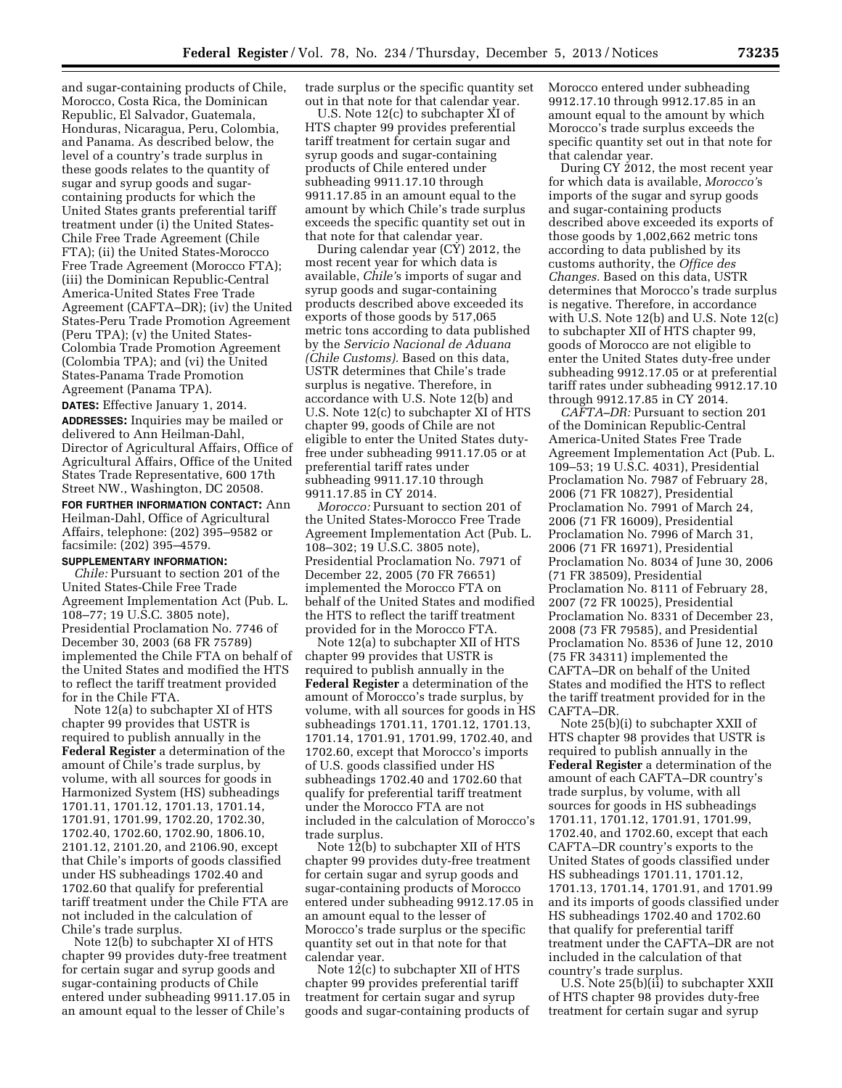and sugar-containing products of Chile, Morocco, Costa Rica, the Dominican Republic, El Salvador, Guatemala, Honduras, Nicaragua, Peru, Colombia, and Panama. As described below, the level of a country's trade surplus in these goods relates to the quantity of sugar and syrup goods and sugarcontaining products for which the United States grants preferential tariff treatment under (i) the United States-Chile Free Trade Agreement (Chile FTA); (ii) the United States-Morocco Free Trade Agreement (Morocco FTA); (iii) the Dominican Republic-Central America-United States Free Trade Agreement (CAFTA–DR); (iv) the United States-Peru Trade Promotion Agreement (Peru TPA); (v) the United States-Colombia Trade Promotion Agreement (Colombia TPA); and (vi) the United States-Panama Trade Promotion Agreement (Panama TPA).

**DATES:** Effective January 1, 2014. **ADDRESSES:** Inquiries may be mailed or delivered to Ann Heilman-Dahl, Director of Agricultural Affairs, Office of Agricultural Affairs, Office of the United States Trade Representative, 600 17th Street NW., Washington, DC 20508. **FOR FURTHER INFORMATION CONTACT:** Ann Heilman-Dahl, Office of Agricultural Affairs, telephone: (202) 395–9582 or facsimile: (202) 395–4579.

#### **SUPPLEMENTARY INFORMATION:**

*Chile:* Pursuant to section 201 of the United States-Chile Free Trade Agreement Implementation Act (Pub. L. 108–77; 19 U.S.C. 3805 note), Presidential Proclamation No. 7746 of December 30, 2003 (68 FR 75789) implemented the Chile FTA on behalf of the United States and modified the HTS to reflect the tariff treatment provided for in the Chile FTA.

Note 12(a) to subchapter XI of HTS chapter 99 provides that USTR is required to publish annually in the **Federal Register** a determination of the amount of Chile's trade surplus, by volume, with all sources for goods in Harmonized System (HS) subheadings 1701.11, 1701.12, 1701.13, 1701.14, 1701.91, 1701.99, 1702.20, 1702.30, 1702.40, 1702.60, 1702.90, 1806.10, 2101.12, 2101.20, and 2106.90, except that Chile's imports of goods classified under HS subheadings 1702.40 and 1702.60 that qualify for preferential tariff treatment under the Chile FTA are not included in the calculation of Chile's trade surplus.

Note 12(b) to subchapter XI of HTS chapter 99 provides duty-free treatment for certain sugar and syrup goods and sugar-containing products of Chile entered under subheading 9911.17.05 in an amount equal to the lesser of Chile's

trade surplus or the specific quantity set out in that note for that calendar year.

U.S. Note 12(c) to subchapter XI of HTS chapter 99 provides preferential tariff treatment for certain sugar and syrup goods and sugar-containing products of Chile entered under subheading 9911.17.10 through 9911.17.85 in an amount equal to the amount by which Chile's trade surplus exceeds the specific quantity set out in that note for that calendar year.

During calendar year (CY) 2012, the most recent year for which data is available, *Chile'*s imports of sugar and syrup goods and sugar-containing products described above exceeded its exports of those goods by 517,065 metric tons according to data published by the *Servicio Nacional de Aduana (Chile Customs).* Based on this data, USTR determines that Chile's trade surplus is negative. Therefore, in accordance with U.S. Note 12(b) and U.S. Note 12(c) to subchapter XI of HTS chapter 99, goods of Chile are not eligible to enter the United States dutyfree under subheading 9911.17.05 or at preferential tariff rates under subheading 9911.17.10 through 9911.17.85 in CY 2014.

*Morocco:* Pursuant to section 201 of the United States-Morocco Free Trade Agreement Implementation Act (Pub. L. 108–302; 19 U.S.C. 3805 note), Presidential Proclamation No. 7971 of December 22, 2005 (70 FR 76651) implemented the Morocco FTA on behalf of the United States and modified the HTS to reflect the tariff treatment provided for in the Morocco FTA.

Note 12(a) to subchapter XII of HTS chapter 99 provides that USTR is required to publish annually in the **Federal Register** a determination of the amount of Morocco's trade surplus, by volume, with all sources for goods in HS subheadings 1701.11, 1701.12, 1701.13, 1701.14, 1701.91, 1701.99, 1702.40, and 1702.60, except that Morocco's imports of U.S. goods classified under HS subheadings 1702.40 and 1702.60 that qualify for preferential tariff treatment under the Morocco FTA are not included in the calculation of Morocco's trade surplus.

Note 12(b) to subchapter XII of HTS chapter 99 provides duty-free treatment for certain sugar and syrup goods and sugar-containing products of Morocco entered under subheading 9912.17.05 in an amount equal to the lesser of Morocco's trade surplus or the specific quantity set out in that note for that calendar year.

Note 12(c) to subchapter XII of HTS chapter 99 provides preferential tariff treatment for certain sugar and syrup goods and sugar-containing products of Morocco entered under subheading 9912.17.10 through 9912.17.85 in an amount equal to the amount by which Morocco's trade surplus exceeds the specific quantity set out in that note for that calendar year.

During CY 2012, the most recent year for which data is available, *Morocco'*s imports of the sugar and syrup goods and sugar-containing products described above exceeded its exports of those goods by 1,002,662 metric tons according to data published by its customs authority, the *Office des Changes.* Based on this data, USTR determines that Morocco's trade surplus is negative. Therefore, in accordance with U.S. Note 12(b) and U.S. Note 12(c) to subchapter XII of HTS chapter 99, goods of Morocco are not eligible to enter the United States duty-free under subheading 9912.17.05 or at preferential tariff rates under subheading 9912.17.10 through 9912.17.85 in CY 2014.

*CAFTA–DR:* Pursuant to section 201 of the Dominican Republic-Central America-United States Free Trade Agreement Implementation Act (Pub. L. 109–53; 19 U.S.C. 4031), Presidential Proclamation No. 7987 of February 28, 2006 (71 FR 10827), Presidential Proclamation No. 7991 of March 24, 2006 (71 FR 16009), Presidential Proclamation No. 7996 of March 31, 2006 (71 FR 16971), Presidential Proclamation No. 8034 of June 30, 2006 (71 FR 38509), Presidential Proclamation No. 8111 of February 28, 2007 (72 FR 10025), Presidential Proclamation No. 8331 of December 23, 2008 (73 FR 79585), and Presidential Proclamation No. 8536 of June 12, 2010 (75 FR 34311) implemented the CAFTA–DR on behalf of the United States and modified the HTS to reflect the tariff treatment provided for in the CAFTA–DR.

Note 25(b)(i) to subchapter XXII of HTS chapter 98 provides that USTR is required to publish annually in the **Federal Register** a determination of the amount of each CAFTA–DR country's trade surplus, by volume, with all sources for goods in HS subheadings 1701.11, 1701.12, 1701.91, 1701.99, 1702.40, and 1702.60, except that each CAFTA–DR country's exports to the United States of goods classified under HS subheadings 1701.11, 1701.12, 1701.13, 1701.14, 1701.91, and 1701.99 and its imports of goods classified under HS subheadings 1702.40 and 1702.60 that qualify for preferential tariff treatment under the CAFTA–DR are not included in the calculation of that country's trade surplus.

U.S. Note 25(b)(ii) to subchapter XXII of HTS chapter 98 provides duty-free treatment for certain sugar and syrup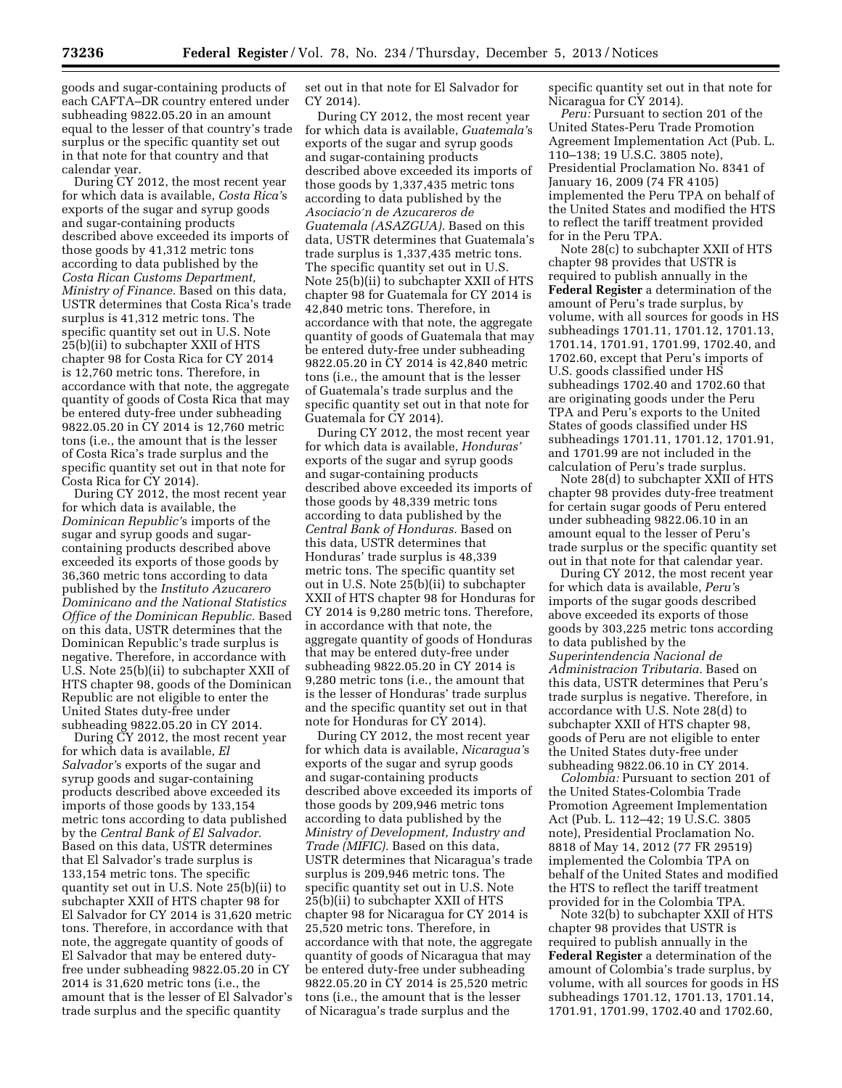goods and sugar-containing products of each CAFTA–DR country entered under subheading 9822.05.20 in an amount equal to the lesser of that country's trade surplus or the specific quantity set out in that note for that country and that calendar year.

During CY 2012, the most recent year for which data is available, *Costa Rica'*s exports of the sugar and syrup goods and sugar-containing products described above exceeded its imports of those goods by 41,312 metric tons according to data published by the *Costa Rican Customs Department, Ministry of Finance.* Based on this data, USTR determines that Costa Rica's trade surplus is 41,312 metric tons. The specific quantity set out in U.S. Note 25(b)(ii) to subchapter XXII of HTS chapter 98 for Costa Rica for CY 2014 is 12,760 metric tons. Therefore, in accordance with that note, the aggregate quantity of goods of Costa Rica that may be entered duty-free under subheading 9822.05.20 in CY 2014 is 12,760 metric tons (i.e., the amount that is the lesser of Costa Rica's trade surplus and the specific quantity set out in that note for Costa Rica for CY 2014).

During CY 2012, the most recent year for which data is available, the *Dominican Republic'*s imports of the sugar and syrup goods and sugarcontaining products described above exceeded its exports of those goods by 36,360 metric tons according to data published by the *Instituto Azucarero Dominicano and the National Statistics Office of the Dominican Republic.* Based on this data, USTR determines that the Dominican Republic's trade surplus is negative. Therefore, in accordance with U.S. Note 25(b)(ii) to subchapter XXII of HTS chapter 98, goods of the Dominican Republic are not eligible to enter the United States duty-free under subheading 9822.05.20 in CY 2014.

During CY 2012, the most recent year for which data is available, *El Salvador'*s exports of the sugar and syrup goods and sugar-containing products described above exceeded its imports of those goods by 133,154 metric tons according to data published by the *Central Bank of El Salvador.*  Based on this data, USTR determines that El Salvador's trade surplus is 133,154 metric tons. The specific quantity set out in U.S. Note 25(b)(ii) to subchapter XXII of HTS chapter 98 for El Salvador for CY 2014 is 31,620 metric tons. Therefore, in accordance with that note, the aggregate quantity of goods of El Salvador that may be entered dutyfree under subheading 9822.05.20 in CY 2014 is 31,620 metric tons (i.e., the amount that is the lesser of El Salvador's trade surplus and the specific quantity

set out in that note for El Salvador for CY 2014).

During CY 2012, the most recent year for which data is available, *Guatemala'*s exports of the sugar and syrup goods and sugar-containing products described above exceeded its imports of those goods by 1,337,435 metric tons according to data published by the *Asociacio*´*n de Azucareros de Guatemala (ASAZGUA).* Based on this data, USTR determines that Guatemala's trade surplus is 1,337,435 metric tons. The specific quantity set out in U.S. Note 25(b)(ii) to subchapter XXII of HTS chapter 98 for Guatemala for CY 2014 is 42,840 metric tons. Therefore, in accordance with that note, the aggregate quantity of goods of Guatemala that may be entered duty-free under subheading 9822.05.20 in CY 2014 is 42,840 metric tons (i.e., the amount that is the lesser of Guatemala's trade surplus and the specific quantity set out in that note for Guatemala for CY 2014).

During CY 2012, the most recent year for which data is available, *Honduras'*  exports of the sugar and syrup goods and sugar-containing products described above exceeded its imports of those goods by 48,339 metric tons according to data published by the *Central Bank of Honduras.* Based on this data, USTR determines that Honduras' trade surplus is 48,339 metric tons. The specific quantity set out in U.S. Note 25(b)(ii) to subchapter XXII of HTS chapter 98 for Honduras for CY 2014 is 9,280 metric tons. Therefore, in accordance with that note, the aggregate quantity of goods of Honduras that may be entered duty-free under subheading 9822.05.20 in CY 2014 is 9,280 metric tons (i.e., the amount that is the lesser of Honduras' trade surplus and the specific quantity set out in that note for Honduras for CY 2014).

During CY 2012, the most recent year for which data is available, *Nicaragua'*s exports of the sugar and syrup goods and sugar-containing products described above exceeded its imports of those goods by 209,946 metric tons according to data published by the *Ministry of Development, Industry and Trade (MIFIC).* Based on this data, USTR determines that Nicaragua's trade surplus is 209,946 metric tons. The specific quantity set out in U.S. Note 25(b)(ii) to subchapter XXII of HTS chapter 98 for Nicaragua for CY 2014 is 25,520 metric tons. Therefore, in accordance with that note, the aggregate quantity of goods of Nicaragua that may be entered duty-free under subheading 9822.05.20 in CY 2014 is 25,520 metric tons (i.e., the amount that is the lesser of Nicaragua's trade surplus and the

specific quantity set out in that note for Nicaragua for CY 2014).

*Peru:* Pursuant to section 201 of the United States-Peru Trade Promotion Agreement Implementation Act (Pub. L. 110–138; 19 U.S.C. 3805 note), Presidential Proclamation No. 8341 of January 16, 2009 (74 FR 4105) implemented the Peru TPA on behalf of the United States and modified the HTS to reflect the tariff treatment provided for in the Peru TPA.

Note 28(c) to subchapter XXII of HTS chapter 98 provides that USTR is required to publish annually in the **Federal Register** a determination of the amount of Peru's trade surplus, by volume, with all sources for goods in HS subheadings 1701.11, 1701.12, 1701.13, 1701.14, 1701.91, 1701.99, 1702.40, and 1702.60, except that Peru's imports of U.S. goods classified under HS subheadings 1702.40 and 1702.60 that are originating goods under the Peru TPA and Peru's exports to the United States of goods classified under HS subheadings 1701.11, 1701.12, 1701.91, and 1701.99 are not included in the calculation of Peru's trade surplus.

Note 28(d) to subchapter XXII of HTS chapter 98 provides duty-free treatment for certain sugar goods of Peru entered under subheading 9822.06.10 in an amount equal to the lesser of Peru's trade surplus or the specific quantity set out in that note for that calendar year.

During CY 2012, the most recent year for which data is available, *Peru'*s imports of the sugar goods described above exceeded its exports of those goods by 303,225 metric tons according to data published by the *Superintendencia Nacional de Administracion Tributaria.* Based on this data, USTR determines that Peru's trade surplus is negative. Therefore, in accordance with U.S. Note 28(d) to subchapter XXII of HTS chapter 98, goods of Peru are not eligible to enter the United States duty-free under subheading 9822.06.10 in CY 2014.

*Colombia:* Pursuant to section 201 of the United States-Colombia Trade Promotion Agreement Implementation Act (Pub. L. 112–42; 19 U.S.C. 3805 note), Presidential Proclamation No. 8818 of May 14, 2012 (77 FR 29519) implemented the Colombia TPA on behalf of the United States and modified the HTS to reflect the tariff treatment provided for in the Colombia TPA.

Note 32(b) to subchapter XXII of HTS chapter 98 provides that USTR is required to publish annually in the **Federal Register** a determination of the amount of Colombia's trade surplus, by volume, with all sources for goods in HS subheadings 1701.12, 1701.13, 1701.14, 1701.91, 1701.99, 1702.40 and 1702.60,